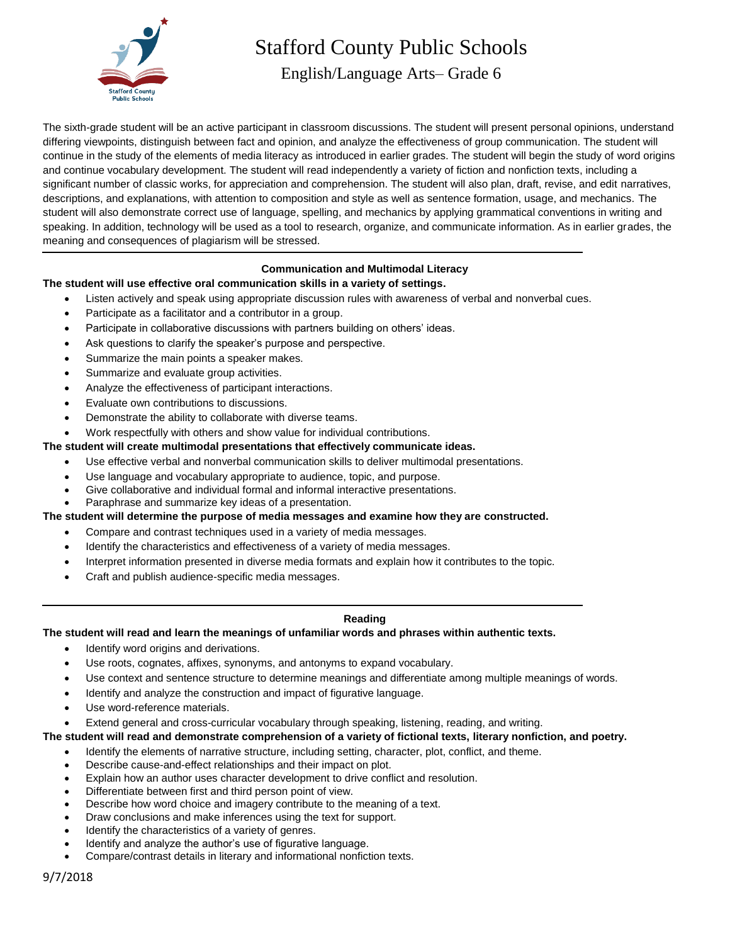

# Stafford County Public Schools

English/Language Arts– Grade 6

The sixth-grade student will be an active participant in classroom discussions. The student will present personal opinions, understand differing viewpoints, distinguish between fact and opinion, and analyze the effectiveness of group communication. The student will continue in the study of the elements of media literacy as introduced in earlier grades. The student will begin the study of word origins and continue vocabulary development. The student will read independently a variety of fiction and nonfiction texts, including a significant number of classic works, for appreciation and comprehension. The student will also plan, draft, revise, and edit narratives, descriptions, and explanations, with attention to composition and style as well as sentence formation, usage, and mechanics. The student will also demonstrate correct use of language, spelling, and mechanics by applying grammatical conventions in writing and speaking. In addition, technology will be used as a tool to research, organize, and communicate information. As in earlier grades, the meaning and consequences of plagiarism will be stressed.

## **Communication and Multimodal Literacy**

# **The student will use effective oral communication skills in a variety of settings.**

- Listen actively and speak using appropriate discussion rules with awareness of verbal and nonverbal cues.
- Participate as a facilitator and a contributor in a group.
- Participate in collaborative discussions with partners building on others' ideas.
- Ask questions to clarify the speaker's purpose and perspective.
- Summarize the main points a speaker makes.
- Summarize and evaluate group activities.
- Analyze the effectiveness of participant interactions.
- Evaluate own contributions to discussions.
- Demonstrate the ability to collaborate with diverse teams.

Work respectfully with others and show value for individual contributions.

#### **The student will create multimodal presentations that effectively communicate ideas.**

- Use effective verbal and nonverbal communication skills to deliver multimodal presentations.
- Use language and vocabulary appropriate to audience, topic, and purpose.
- Give collaborative and individual formal and informal interactive presentations.
- Paraphrase and summarize key ideas of a presentation.

#### **The student will determine the purpose of media messages and examine how they are constructed.**

- Compare and contrast techniques used in a variety of media messages.
- Identify the characteristics and effectiveness of a variety of media messages.
- Interpret information presented in diverse media formats and explain how it contributes to the topic.
- Craft and publish audience-specific media messages.

## **Reading**

## **The student will read and learn the meanings of unfamiliar words and phrases within authentic texts.**

- Identify word origins and derivations.
- Use roots, cognates, affixes, synonyms, and antonyms to expand vocabulary.
- Use context and sentence structure to determine meanings and differentiate among multiple meanings of words.
- Identify and analyze the construction and impact of figurative language.
- Use word-reference materials.
- Extend general and cross-curricular vocabulary through speaking, listening, reading, and writing.

#### **The student will read and demonstrate comprehension of a variety of fictional texts, literary nonfiction, and poetry.**

- Identify the elements of narrative structure, including setting, character, plot, conflict, and theme.
- Describe cause-and-effect relationships and their impact on plot.
- Explain how an author uses character development to drive conflict and resolution.
- Differentiate between first and third person point of view.
- Describe how word choice and imagery contribute to the meaning of a text.
- Draw conclusions and make inferences using the text for support.
- Identify the characteristics of a variety of genres.
- Identify and analyze the author's use of figurative language.
- Compare/contrast details in literary and informational nonfiction texts.